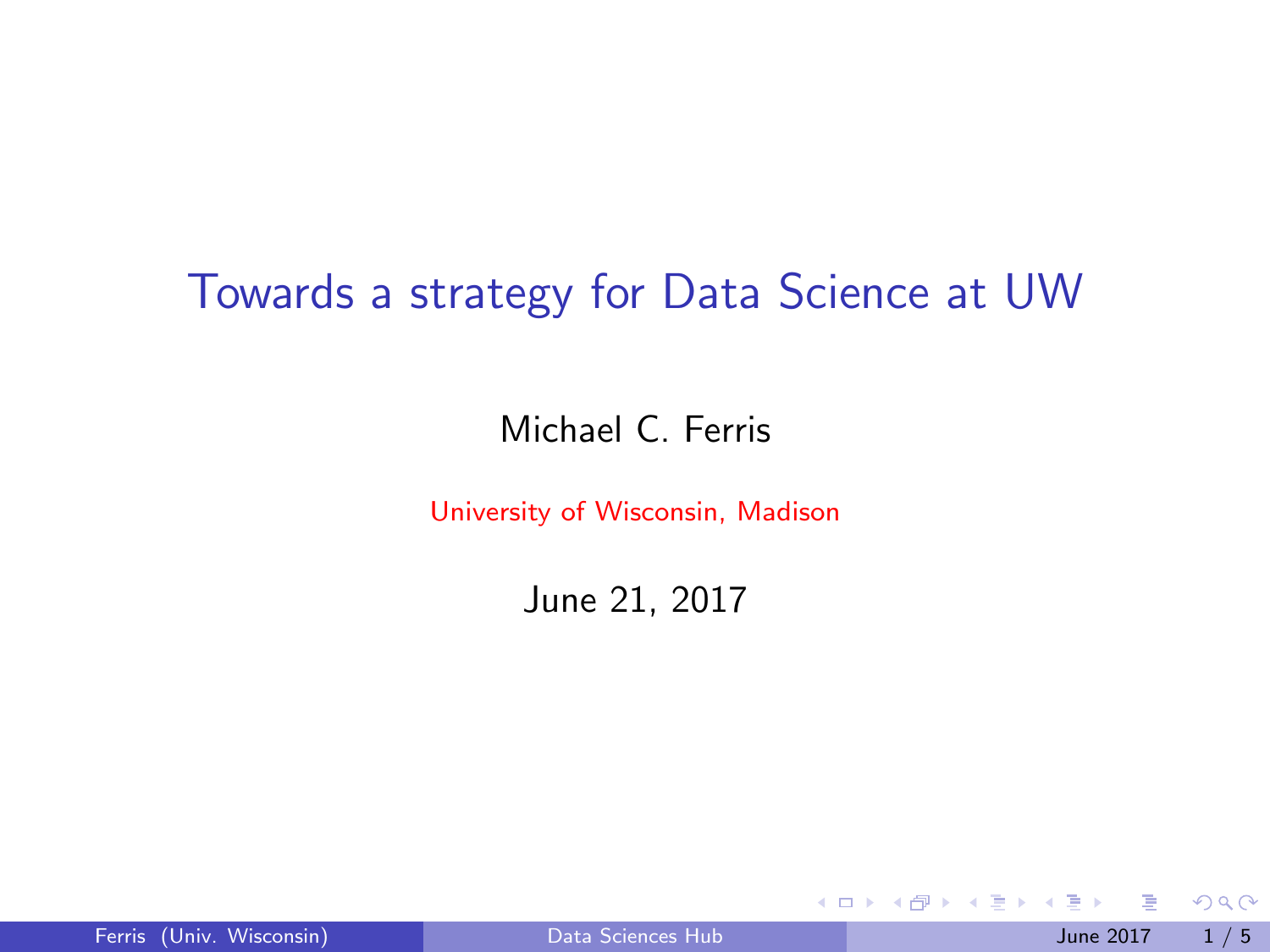### <span id="page-0-0"></span>Towards a strategy for Data Science at UW

#### Michael C. Ferris

University of Wisconsin, Madison

June 21, 2017

|  | Ferris (Univ. Wisconsin) |
|--|--------------------------|
|  |                          |

4 0 8

∋ k i

 $299$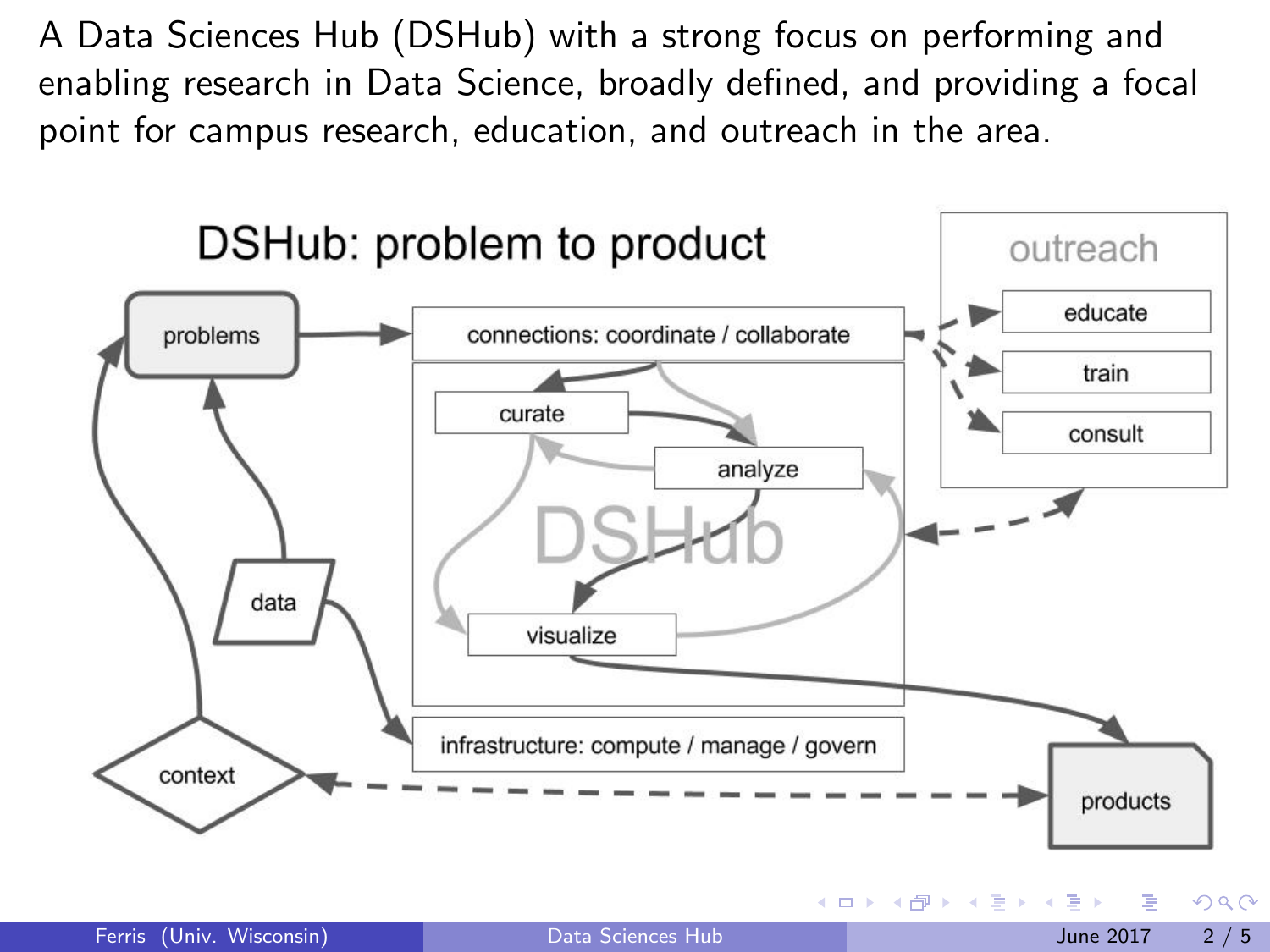A Data Sciences Hub (DSHub) with a strong focus on performing and enabling research in Data Science, broadly defined, and providing a focal point for campus research, education, and outreach in the area.



Ferris (Univ. Wisconsin) [Data Sciences Hub](#page-0-0) June 2017 2 / 5

**イロト イ母ト イヨト** 

 $\Omega$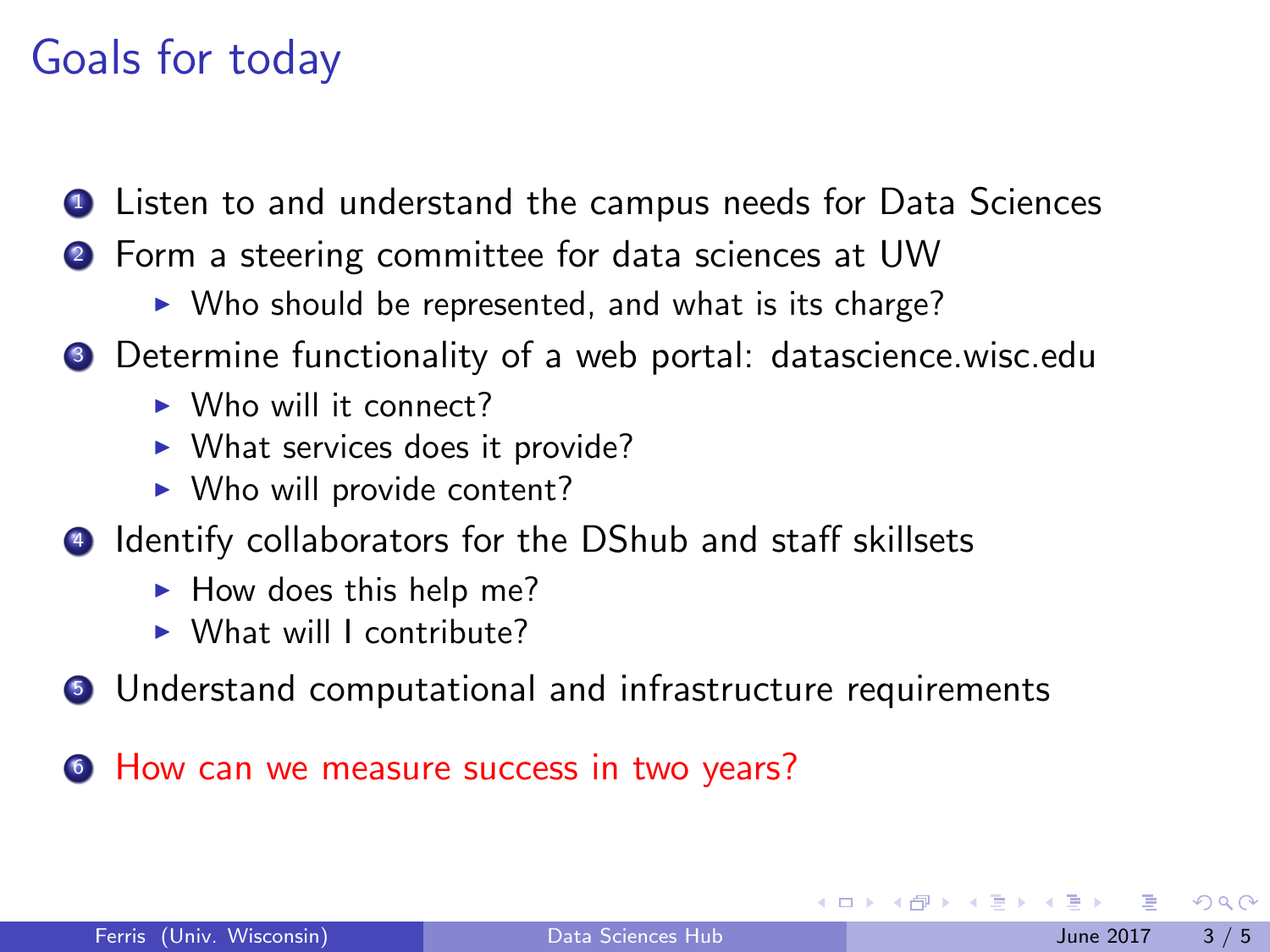# Goals for today

- **1** Listen to and understand the campus needs for Data Sciences
- <sup>2</sup> Form a steering committee for data sciences at UW
	- $\triangleright$  Who should be represented, and what is its charge?
- <sup>3</sup> Determine functionality of a web portal: datascience.wisc.edu
	- $\triangleright$  Who will it connect?
	- $\triangleright$  What services does it provide?
	- $\triangleright$  Who will provide content?
- <sup>4</sup> Identify collaborators for the DShub and staff skillsets
	- $\blacktriangleright$  How does this help me?
	- $\triangleright$  What will I contribute?
- <sup>5</sup> Understand computational and infrastructure requirements
- **<sup>6</sup>** How can we measure success in two years?

 $\Omega$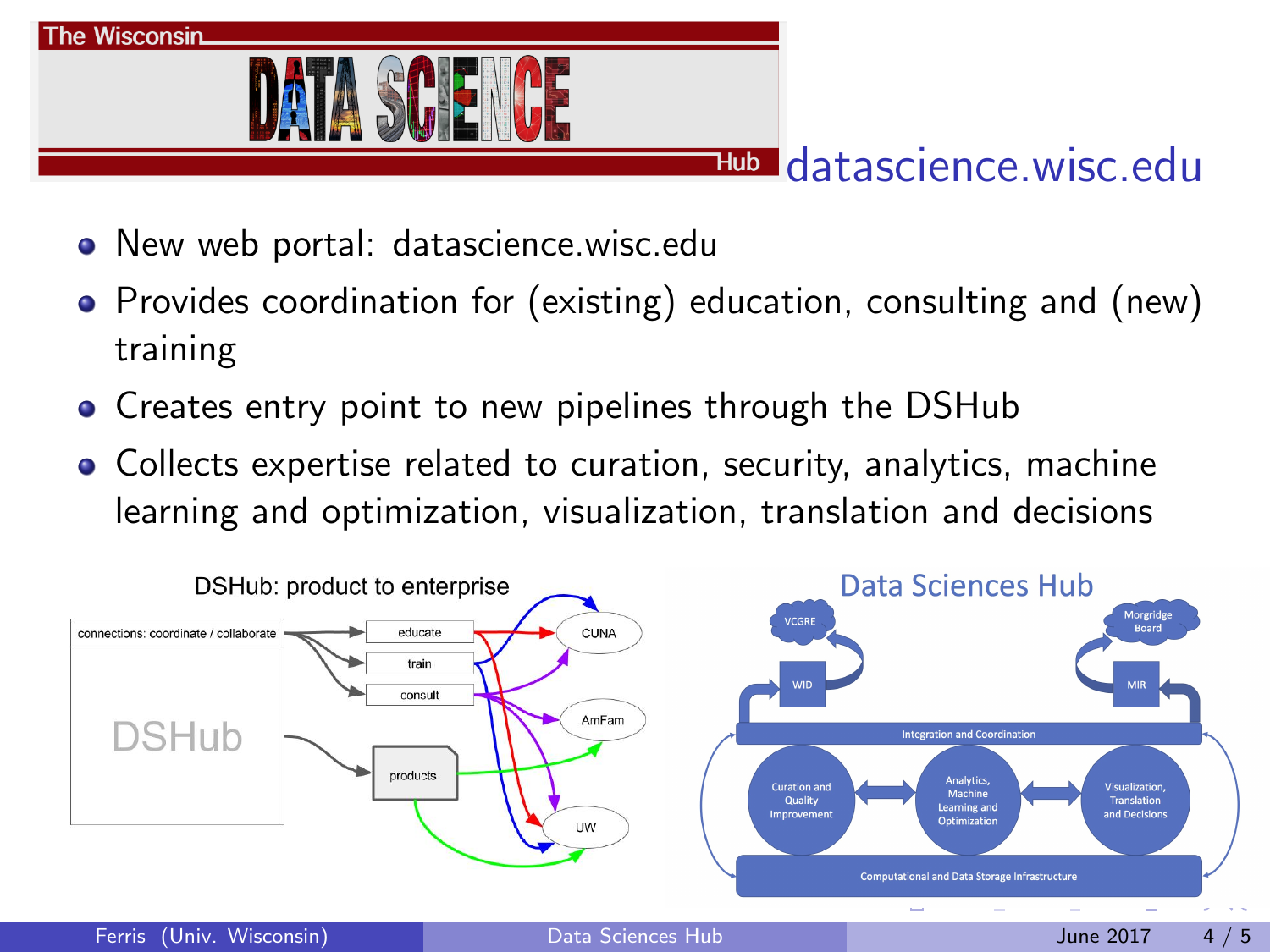

#### Hub datascience wisc edu

- New web portal: datascience.wisc.edu
- Provides coordination for (existing) education, consulting and (new) training
- Creates entry point to new pipelines through the DSHub
- Collects expertise related to curation, security, analytics, machine learning and optimization, visualization, translation and decisions